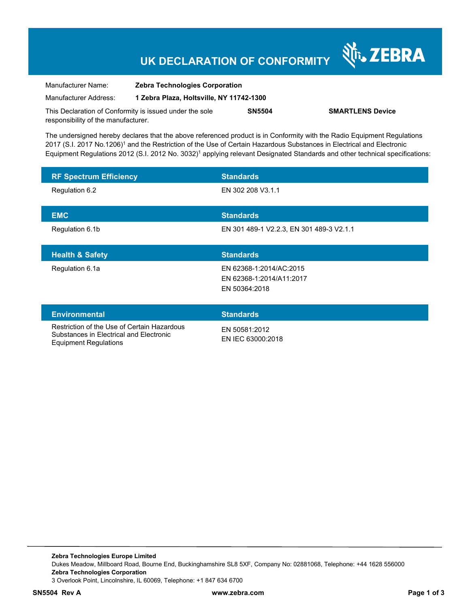## **UK DECLARATION OF CONFORMITY**

श्री<sub>1</sub>, ZEBRA

| Manufacturer Name:                                      | <b>Zebra Technologies Corporation</b>    |               |                         |
|---------------------------------------------------------|------------------------------------------|---------------|-------------------------|
| Manufacturer Address:                                   | 1 Zebra Plaza, Holtsville, NY 11742-1300 |               |                         |
| This Declaration of Conformity is issued under the sole |                                          | <b>SN5504</b> | <b>SMARTLENS Device</b> |
| responsibility of the manufacturer.                     |                                          |               |                         |

The undersigned hereby declares that the above referenced product is in Conformity with the Radio Equipment Regulations 2017 (S.I. 2017 No.1206)<sup>1</sup> and the Restriction of the Use of Certain Hazardous Substances in Electrical and Electronic Equipment Regulations 2012 (S.I. 2012 No. 3032)<sup>1</sup> applying relevant Designated Standards and other technical specifications:

| <b>RF Spectrum Efficiency</b> | <b>Standards</b>                         |
|-------------------------------|------------------------------------------|
| Regulation 6.2                | EN 302 208 V3.1.1                        |
|                               |                                          |
| <b>EMC</b>                    | <b>Standards</b>                         |
| Regulation 6.1b               | EN 301 489-1 V2.2.3, EN 301 489-3 V2.1.1 |
|                               |                                          |
|                               |                                          |
| <b>Health &amp; Safety</b>    | <b>Standards</b>                         |
| Regulation 6.1a               | EN 62368-1:2014/AC:2015                  |
|                               | EN 62368-1:2014/A11:2017                 |
|                               | EN 50364:2018                            |
|                               |                                          |
| <b>Environmental</b>          | <b>Standards</b>                         |

Substances in Electrical and Electronic Equipment Regulations

EN 50581:2012 EN IEC 63000:2018

**Zebra Technologies Europe Limited**  Dukes Meadow, Millboard Road, Bourne End, Buckinghamshire SL8 5XF, Company No: 02881068, Telephone: +44 1628 556000 **Zebra Technologies Corporation**  3 Overlook Point, Lincolnshire, IL 60069, Telephone: +1 847 634 6700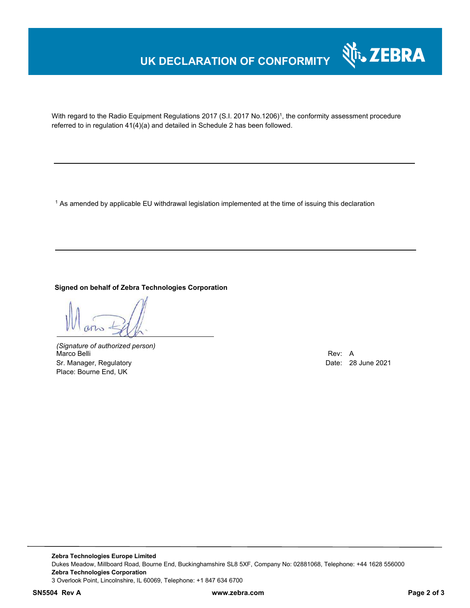### **UK DECLARATION OF CONFORMITY**



With regard to the Radio Equipment Regulations 2017 (S.I. 2017 No.1206)<sup>1</sup>, the conformity assessment procedure referred to in regulation 41(4)(a) and detailed in Schedule 2 has been followed.

 $^{\rm 1}$  As amended by applicable EU withdrawal legislation implemented at the time of issuing this declaration

**Signed on behalf of Zebra Technologies Corporation** 

*(Signature of authorized person)* Marco Belli Rev: A Sr. Manager, Regulatory **Date: 28 June 2021** Place: Bourne End, UK